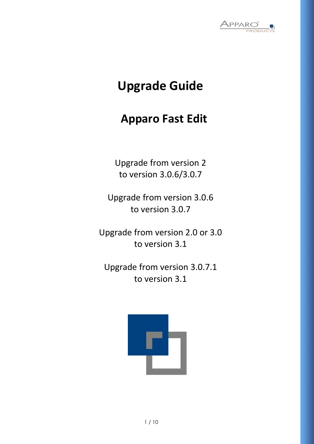

# **Upgrade Guide**

## **Apparo Fast Edit**

Upgrade from version 2 to version 3.0.6/3.0.7

Upgrade from version 3.0.6 to version 3.0.7

Upgrade from version 2.0 or 3.0 to version 3.1

Upgrade from version 3.0.7.1 to version 3.1

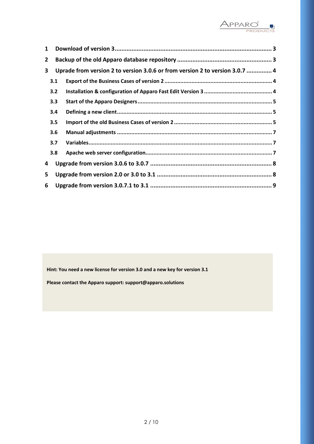

| 1              |     |                                                                              |  |
|----------------|-----|------------------------------------------------------------------------------|--|
| $\overline{2}$ |     |                                                                              |  |
| 3              |     | Uprade from version 2 to version 3.0.6 or from version 2 to version 3.0.7  4 |  |
|                | 3.1 |                                                                              |  |
|                | 3.2 |                                                                              |  |
|                | 3.3 |                                                                              |  |
|                | 3.4 |                                                                              |  |
|                | 3.5 |                                                                              |  |
|                | 3.6 |                                                                              |  |
|                | 3.7 |                                                                              |  |
|                | 3.8 |                                                                              |  |
| 4              |     |                                                                              |  |
| 5              |     |                                                                              |  |
| 6              |     |                                                                              |  |

**Hint: You need a new license for version 3.0 and a new key for version 3.1**

**Please contact the Apparo support: support@apparo.solutions**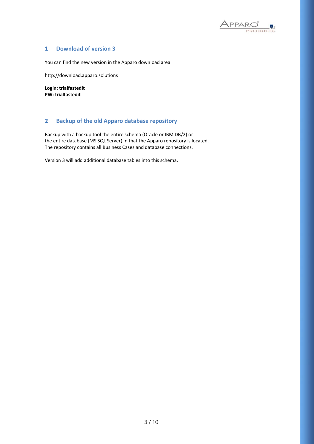

### <span id="page-2-0"></span>**1 Download of version 3**

You can find the new version in the Apparo download area:

http://download.apparo.solutions

**Login: trialfastedit PW: trialfastedit**

## <span id="page-2-1"></span>**2 Backup of the old Apparo database repository**

Backup with a backup tool the entire schema (Oracle or IBM DB/2) or the entire database (MS SQL Server) in that the Apparo repository is located. The repository contains all Business Cases and database connections.

Version 3 will add additional database tables into this schema.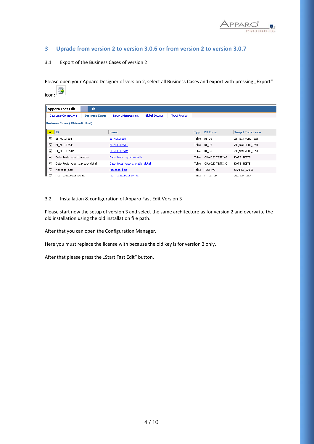

## <span id="page-3-0"></span>**3 Uprade from version 2 to version 3.0.6 or from version 2 to version 3.0.7**

#### <span id="page-3-1"></span>3.1 Export of the Business Cases of version 2

含

Please open your Apparo Designer of version 2, select all Business Cases and export with pressing "Export"

| ॼ<br>icon:              |                                  |                       |                                  |                 |                      |       |                      |                          |  |
|-------------------------|----------------------------------|-----------------------|----------------------------------|-----------------|----------------------|-------|----------------------|--------------------------|--|
| <b>Apparo Fast Edit</b> |                                  | de                    |                                  |                 |                      |       |                      |                          |  |
|                         | <b>Database Connections</b>      | <b>Business Cases</b> | <b>Report Management</b>         | Global Settings | <b>About Product</b> |       |                      |                          |  |
|                         | Business Cases (194/unlimited)   |                       |                                  |                 |                      |       |                      |                          |  |
| М                       | $\overline{1}$                   |                       | <b>Name</b>                      |                 |                      |       | Type   DB Conn.      | <b>Target Table/View</b> |  |
| ⊽                       | <b>BI_NULLTEST</b>               |                       | <b>BI NULLTEST</b>               |                 |                      |       | Table BI_OS          | ZT_NOTNULL_TEST          |  |
| ⊽                       | BI NULLTEST1                     |                       | <b>BI NULLTEST1</b>              |                 |                      |       | Table BI OS          | ZT_NOTNULL_TEST          |  |
| ⊽                       | BI_NULLTEST2                     |                       | <b>BI NULLTEST2</b>              |                 |                      |       | Table BI_OS          | ZT_NOTNULL_TEST          |  |
|                         | ⊽<br>Date_tests_reportvariable   |                       | Date tests reportvariable        |                 |                      |       | Table ORACLE_TESTING | DATE_TESTS               |  |
| ⊽                       | Date_tests_reportvariable_detail |                       | Date tests reportvariable detail |                 |                      | Table | ORACLE_TESTING       | DATE_TESTS               |  |
| ⊽                       | Message box                      |                       | Message box                      |                 |                      |       | Table TESTING        | SAMPLE SALES             |  |
| ᢑ                       | ORC WAG-Meldung fe               |                       | ORC WAG-Meldung fe               |                 |                      | Table | FF WORK              | dim secunant             |  |

#### <span id="page-3-2"></span>3.2 Installation & configuration of Apparo Fast Edit Version 3

Please start now the setup of version 3 and select the same architecture as for version 2 and overwrite the old installation using the old installation file path.

After that you can open the Configuration Manager.

Here you must replace the license with because the old key is for version 2 only.

After that please press the "Start Fast Edit" button.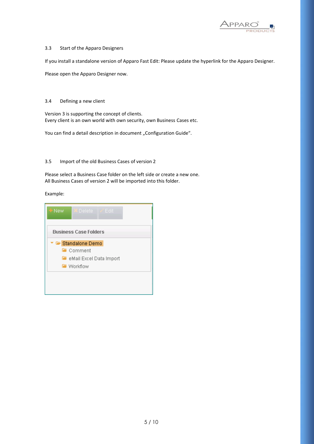

#### <span id="page-4-0"></span>3.3 Start of the Apparo Designers

If you install a standalone version of Apparo Fast Edit: Please update the hyperlink for the Apparo Designer.

Please open the Apparo Designer now.

#### <span id="page-4-1"></span>3.4 Defining a new client

Version 3 is supporting the concept of clients. Every client is an own world with own security, own Business Cases etc.

You can find a detail description in document "Configuration Guide".

#### <span id="page-4-2"></span>3.5 Import of the old Business Cases of version 2

Please select a Business Case folder on the left side or create a new one. All Business Cases of version 2 will be imported into this folder.

Example:

| $+$ New<br>$\triangleright$ Delete $\triangleright$ Fdit |  |  |  |  |  |  |  |  |
|----------------------------------------------------------|--|--|--|--|--|--|--|--|
| <b>Business Case Folders</b>                             |  |  |  |  |  |  |  |  |
| ' ☞ Standalone Demo                                      |  |  |  |  |  |  |  |  |
| l∎ Comment                                               |  |  |  |  |  |  |  |  |
| <b>For</b> eMail Excel Data Import                       |  |  |  |  |  |  |  |  |
| <b>Norkflow</b>                                          |  |  |  |  |  |  |  |  |
|                                                          |  |  |  |  |  |  |  |  |
|                                                          |  |  |  |  |  |  |  |  |
|                                                          |  |  |  |  |  |  |  |  |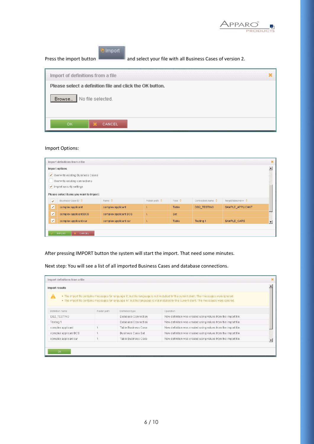

| Import<br>and select your file with all Business Cases of version 2.<br>Press the import button |  |
|-------------------------------------------------------------------------------------------------|--|
| Import of definitions from a file                                                               |  |
| Please select a definition file and click the OK button.                                        |  |
| Browse<br>No file selected.                                                                     |  |
| OK.<br>CANCEL                                                                                   |  |

## Import Options:

| Import definitions from a file          |                           |                        |                        |                         |                   |                     |   |  |
|-----------------------------------------|---------------------------|------------------------|------------------------|-------------------------|-------------------|---------------------|---|--|
| Import options                          |                           |                        |                        |                         |                   |                     |   |  |
| ↓ Overwrite existing Business Cases     |                           |                        |                        |                         |                   |                     |   |  |
| Overwrite existing connections          |                           |                        |                        |                         |                   |                     |   |  |
| Import security settings                |                           |                        |                        |                         |                   |                     |   |  |
| Please select items you want to import: |                           |                        |                        |                         |                   |                     |   |  |
| ᢦ                                       | <b>Business Case ID ♦</b> | Name $\Leftrightarrow$ | Folder path $\Diamond$ | Type $\hat{\mathbf{v}}$ | Connection name ♦ | Target table/view ♦ |   |  |
| է                                       | complex applicant         | complex applicant      |                        | Table                   | DB2_TESTING       | SAMPLE_APPLICANT    |   |  |
| V                                       | complex applicant BCS     | complex applicant BCS  |                        | Set                     |                   |                     |   |  |
| է                                       | complex applicant car     | complex applicant car  |                        | Table                   | Testing 1         | SAMPLE_CARS         | E |  |
|                                         |                           |                        |                        |                         |                   |                     |   |  |
| <b>IMPORT</b><br>CANCEL                 |                           |                        |                        |                         |                   |                     |   |  |

After pressing IMPORT button the system will start the import. That need some minutes.

Next step: You will see a list of all imported Business Cases and database connections.

| Import definitions from a file |             |                          |                                                                                                                                                                                                                                                                                            |  |
|--------------------------------|-------------|--------------------------|--------------------------------------------------------------------------------------------------------------------------------------------------------------------------------------------------------------------------------------------------------------------------------------------|--|
| Import results                 |             |                          |                                                                                                                                                                                                                                                                                            |  |
|                                |             |                          | . The import file contains messages for language 'it', but the language is not installed for the current client. The messages were ignored.<br>. The import file contains messages for language 'nl', but the language is not installed for the current client. The messages were ignored. |  |
| Definition name                | Folder path | Definition type          | Operation                                                                                                                                                                                                                                                                                  |  |
| DB2 TESTING                    |             | Database Connection      | New definition was created using values from the import file.                                                                                                                                                                                                                              |  |
| Testing 1                      |             | Database Connection      | New definition was created using values from the import file.                                                                                                                                                                                                                              |  |
| complex applicant              |             | Table Business Case      | New definition was created using values from the import file.                                                                                                                                                                                                                              |  |
| complex applicant BCS          |             | <b>Business Case Set</b> | New definition was created using values from the import file.                                                                                                                                                                                                                              |  |
| complex applicant car          |             | Table Business Case      | New definition was created using values from the import file.                                                                                                                                                                                                                              |  |
|                                |             |                          |                                                                                                                                                                                                                                                                                            |  |
| OK.                            |             |                          |                                                                                                                                                                                                                                                                                            |  |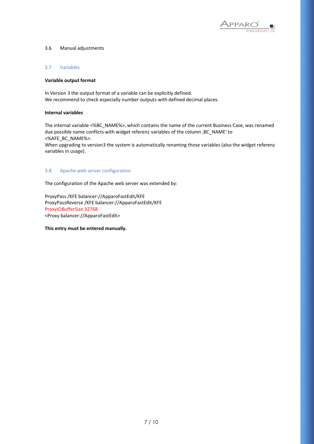

#### <span id="page-6-0"></span>3.6 Manual adjustments

#### <span id="page-6-1"></span>3.7 Variables

#### **Variable output format**

In Version 3 the output format of a variable can be explicitly defined. We recommend to check especially number outputs with defined decimal places.

#### **Internal variables**

The internal variable <%BC\_NAME%>, which contains the name of the current Business Case, was renamed due possible name conflicts with widget referenz variables of the column , BC\_NAME' to <%AFE\_BC\_NAME%>.

When upgrading to version3 the system is automatically renaming those variables (also the widget referenz variables in usage).

#### <span id="page-6-2"></span>3.8 Apache web server configuration

The configuration of the Apache web server was extended by:

ProxyPass /KFE balancer://ApparoFastEdit/KFE ProxyPassReverse /KFE balancer://ApparoFastEdit/KFE ProxyIOBufferSize 32768 <Proxy balancer://ApparoFastEdit>

#### **This entry must be entered manually.**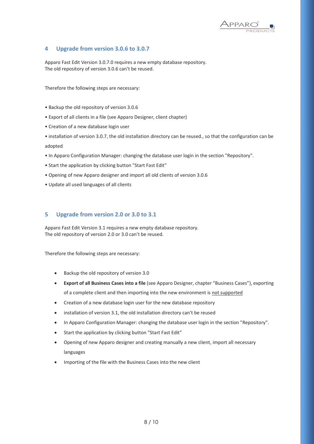

### <span id="page-7-0"></span>**4 Upgrade from version 3.0.6 to 3.0.7**

Apparo Fast Edit Version 3.0.7.0 requires a new empty database repository. The old repository of version 3.0.6 can't be reused.

Therefore the following steps are necessary:

- Backup the old repository of version 3.0.6
- Export of all clients in a file (see Apparo Designer, client chapter)
- Creation of a new database login user
- installation of version 3.0.7, the old installation directory can be reused., so that the configuration can be

adopted

- In Apparo Configuration Manager: changing the database user login in the section "Repository".
- Start the application by clicking button "Start Fast Edit"
- Opening of new Apparo designer and import all old clients of version 3.0.6
- Update all used languages of all clients

#### <span id="page-7-1"></span>**5 Upgrade from version 2.0 or 3.0 to 3.1**

Apparo Fast Edit Version 3.1 requires a new empty database repository. The old repository of version 2.0 or 3.0 can't be reused.

Therefore the following steps are necessary:

- Backup the old repository of version 3.0
- **Export of all Business Cases into a file** (see Apparo Designer, chapter "Business Cases"), exporting of a complete client and then importing into the new environment is not supported
- Creation of a new database login user for the new database repository
- installation of version 3.1, the old installation directory can't be reused
- In Apparo Configuration Manager: changing the database user login in the section "Repository".
- Start the application by clicking button "Start Fast Edit"
- Opening of new Apparo designer and creating manually a new client, import all necessary languages
- Importing of the file with the Business Cases into the new client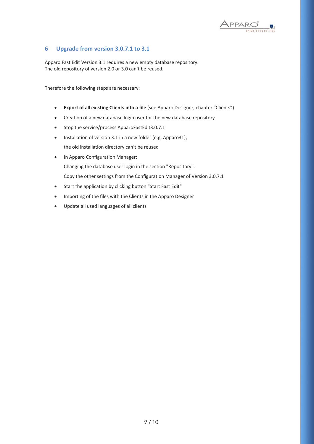

## <span id="page-8-0"></span>**6 Upgrade from version 3.0.7.1 to 3.1**

Apparo Fast Edit Version 3.1 requires a new empty database repository. The old repository of version 2.0 or 3.0 can't be reused.

Therefore the following steps are necessary:

- **Export of all existing Clients into a file** (see Apparo Designer, chapter "Clients")
- Creation of a new database login user for the new database repository
- Stop the service/process ApparoFastEdit3.0.7.1
- Installation of version 3.1 in a new folder (e.g. Apparo31), the old installation directory can't be reused
- In Apparo Configuration Manager: Changing the database user login in the section "Repository". Copy the other settings from the Configuration Manager of Version 3.0.7.1
- Start the application by clicking button "Start Fast Edit"
- Importing of the files with the Clients in the Apparo Designer
- Update all used languages of all clients